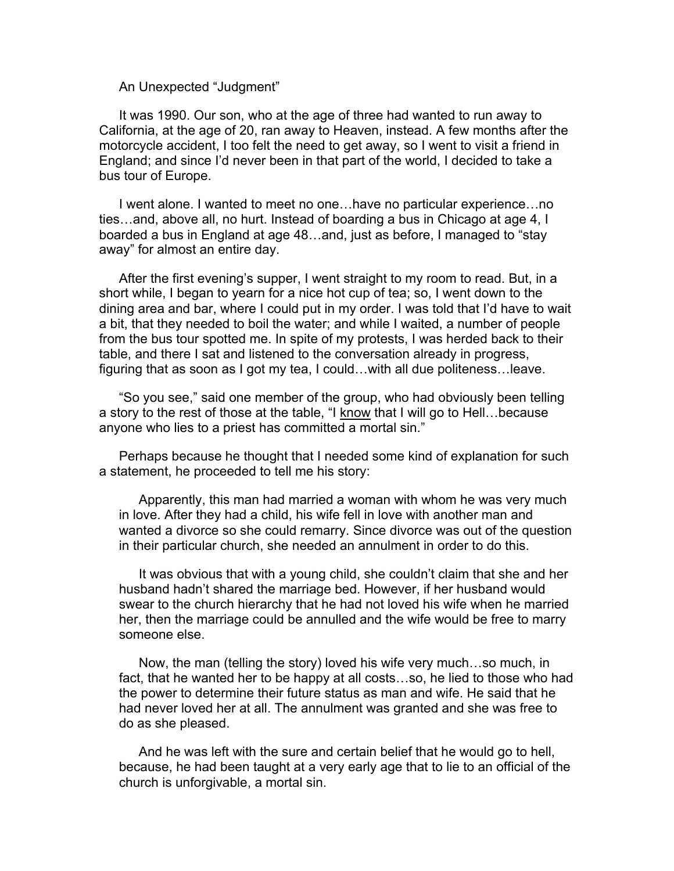An Unexpected "Judgment"

It was 1990. Our son, who at the age of three had wanted to run away to California, at the age of 20, ran away to Heaven, instead. A few months after the motorcycle accident, I too felt the need to get away, so I went to visit a friend in England; and since I'd never been in that part of the world, I decided to take a bus tour of Europe.

I went alone. I wanted to meet no one…have no particular experience…no ties…and, above all, no hurt. Instead of boarding a bus in Chicago at age 4, I boarded a bus in England at age 48…and, just as before, I managed to "stay away" for almost an entire day.

After the first evening's supper, I went straight to my room to read. But, in a short while, I began to yearn for a nice hot cup of tea; so, I went down to the dining area and bar, where I could put in my order. I was told that I'd have to wait a bit, that they needed to boil the water; and while I waited, a number of people from the bus tour spotted me. In spite of my protests, I was herded back to their table, and there I sat and listened to the conversation already in progress, figuring that as soon as I got my tea, I could…with all due politeness…leave.

"So you see," said one member of the group, who had obviously been telling a story to the rest of those at the table, "I know that I will go to Hell...because anyone who lies to a priest has committed a mortal sin."

Perhaps because he thought that I needed some kind of explanation for such a statement, he proceeded to tell me his story:

Apparently, this man had married a woman with whom he was very much in love. After they had a child, his wife fell in love with another man and wanted a divorce so she could remarry. Since divorce was out of the question in their particular church, she needed an annulment in order to do this.

It was obvious that with a young child, she couldn't claim that she and her husband hadn't shared the marriage bed. However, if her husband would swear to the church hierarchy that he had not loved his wife when he married her, then the marriage could be annulled and the wife would be free to marry someone else.

Now, the man (telling the story) loved his wife very much…so much, in fact, that he wanted her to be happy at all costs…so, he lied to those who had the power to determine their future status as man and wife. He said that he had never loved her at all. The annulment was granted and she was free to do as she pleased.

And he was left with the sure and certain belief that he would go to hell, because, he had been taught at a very early age that to lie to an official of the church is unforgivable, a mortal sin.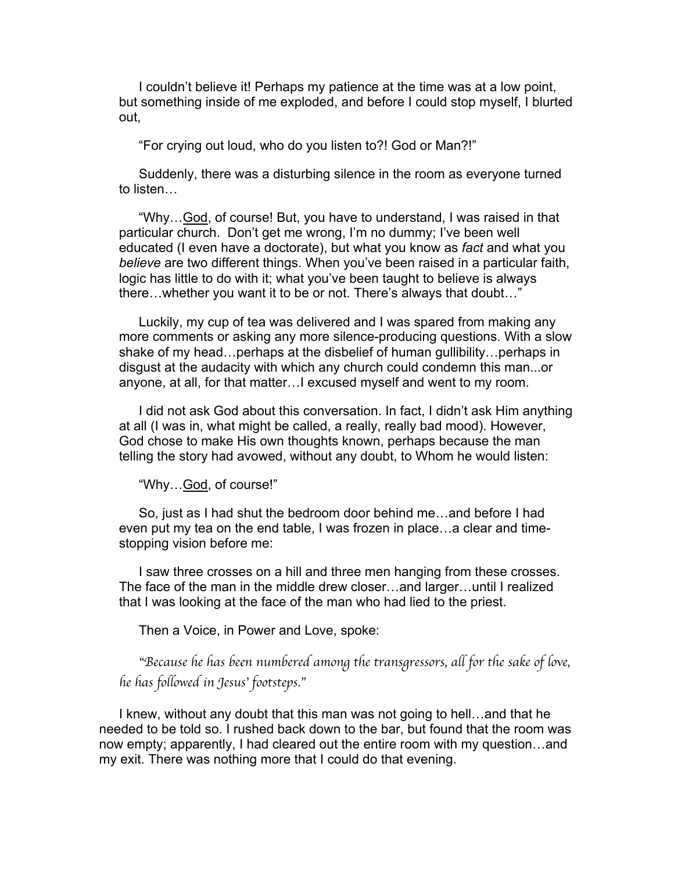I couldn't believe it! Perhaps my patience at the time was at a low point, but something inside of me exploded, and before I could stop myself, I blurted out,

"For crying out loud, who do you listen to?! God or Man?!"

Suddenly, there was a disturbing silence in the room as everyone turned to listen…

"Why…God, of course! But, you have to understand, I was raised in that particular church. Don't get me wrong, I'm no dummy; I've been well educated (I even have a doctorate), but what you know as *fact* and what you *believe* are two different things. When you've been raised in a particular faith, logic has little to do with it; what you've been taught to believe is always there…whether you want it to be or not. There's always that doubt…"

Luckily, my cup of tea was delivered and I was spared from making any more comments or asking any more silence-producing questions. With a slow shake of my head…perhaps at the disbelief of human gullibility…perhaps in disgust at the audacity with which any church could condemn this man...or anyone, at all, for that matter…I excused myself and went to my room.

I did not ask God about this conversation. In fact, I didn't ask Him anything at all (I was in, what might be called, a really, really bad mood). However, God chose to make His own thoughts known, perhaps because the man telling the story had avowed, without any doubt, to Whom he would listen:

"Why…God, of course!"

So, just as I had shut the bedroom door behind me…and before I had even put my tea on the end table, I was frozen in place…a clear and timestopping vision before me:

I saw three crosses on a hill and three men hanging from these crosses. The face of the man in the middle drew closer…and larger…until I realized that I was looking at the face of the man who had lied to the priest.

Then a Voice, in Power and Love, spoke:

"*Because he has been numbered among the transgressors, all for the sake of love, he has followed in Jesus*' *footsteps.*"

I knew, without any doubt that this man was not going to hell…and that he needed to be told so. I rushed back down to the bar, but found that the room was now empty; apparently, I had cleared out the entire room with my question…and my exit. There was nothing more that I could do that evening.